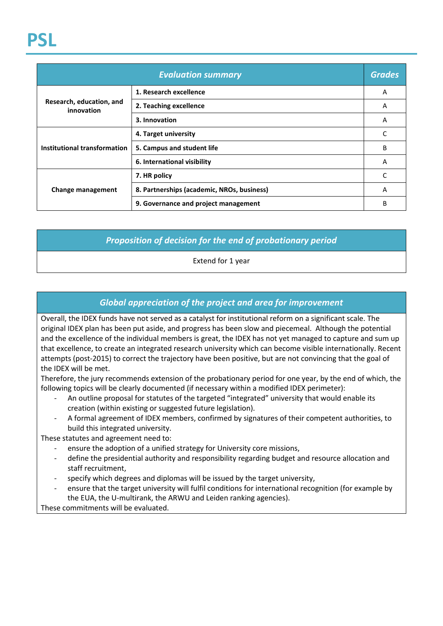| <b>Evaluation summary</b>              |                                            | <b>Grades</b> |
|----------------------------------------|--------------------------------------------|---------------|
| Research, education, and<br>innovation | 1. Research excellence                     | A             |
|                                        | 2. Teaching excellence                     | A             |
|                                        | 3. Innovation                              | A             |
| Institutional transformation           | 4. Target university                       |               |
|                                        | 5. Campus and student life                 | B             |
|                                        | 6. International visibility                | A             |
| Change management                      | 7. HR policy                               |               |
|                                        | 8. Partnerships (academic, NROs, business) | A             |
|                                        | 9. Governance and project management       | B             |

## *Proposition of decision for the end of probationary period*

Extend for 1 year

## *Global appreciation of the project and area for improvement*

Overall, the IDEX funds have not served as a catalyst for institutional reform on a significant scale. The original IDEX plan has been put aside, and progress has been slow and piecemeal. Although the potential and the excellence of the individual members is great, the IDEX has not yet managed to capture and sum up that excellence, to create an integrated research university which can become visible internationally. Recent attempts (post-2015) to correct the trajectory have been positive, but are not convincing that the goal of the IDEX will be met.

Therefore, the jury recommends extension of the probationary period for one year, by the end of which, the following topics will be clearly documented (if necessary within a modified IDEX perimeter):

- An outline proposal for statutes of the targeted "integrated" university that would enable its creation (within existing or suggested future legislation).
- A formal agreement of IDEX members, confirmed by signatures of their competent authorities, to build this integrated university.

These statutes and agreement need to:

- ensure the adoption of a unified strategy for University core missions,
- define the presidential authority and responsibility regarding budget and resource allocation and staff recruitment,
- specify which degrees and diplomas will be issued by the target university,
- ensure that the target university will fulfil conditions for international recognition (for example by the EUA, the U-multirank, the ARWU and Leiden ranking agencies).

These commitments will be evaluated.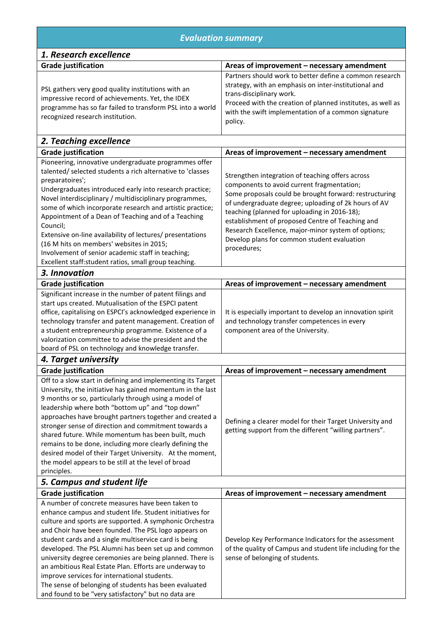| <b>Evaluation summary</b>                                                                                                                                                                                                                                                                                                                                                                                                                                                                                                                                                                                                              |                                                                                                                                                                                                                                                                                                                                                                                                                                           |  |  |  |
|----------------------------------------------------------------------------------------------------------------------------------------------------------------------------------------------------------------------------------------------------------------------------------------------------------------------------------------------------------------------------------------------------------------------------------------------------------------------------------------------------------------------------------------------------------------------------------------------------------------------------------------|-------------------------------------------------------------------------------------------------------------------------------------------------------------------------------------------------------------------------------------------------------------------------------------------------------------------------------------------------------------------------------------------------------------------------------------------|--|--|--|
| 1. Research excellence                                                                                                                                                                                                                                                                                                                                                                                                                                                                                                                                                                                                                 |                                                                                                                                                                                                                                                                                                                                                                                                                                           |  |  |  |
| <b>Grade justification</b>                                                                                                                                                                                                                                                                                                                                                                                                                                                                                                                                                                                                             | Areas of improvement - necessary amendment                                                                                                                                                                                                                                                                                                                                                                                                |  |  |  |
| PSL gathers very good quality institutions with an<br>impressive record of achievements. Yet, the IDEX<br>programme has so far failed to transform PSL into a world<br>recognized research institution.                                                                                                                                                                                                                                                                                                                                                                                                                                | Partners should work to better define a common research<br>strategy, with an emphasis on inter-institutional and<br>trans-disciplinary work.<br>Proceed with the creation of planned institutes, as well as<br>with the swift implementation of a common signature<br>policy.                                                                                                                                                             |  |  |  |
| 2. Teaching excellence                                                                                                                                                                                                                                                                                                                                                                                                                                                                                                                                                                                                                 |                                                                                                                                                                                                                                                                                                                                                                                                                                           |  |  |  |
| <b>Grade justification</b>                                                                                                                                                                                                                                                                                                                                                                                                                                                                                                                                                                                                             | Areas of improvement - necessary amendment                                                                                                                                                                                                                                                                                                                                                                                                |  |  |  |
| Pioneering, innovative undergraduate programmes offer<br>talented/ selected students a rich alternative to 'classes<br>preparatoires';<br>Undergraduates introduced early into research practice;<br>Novel interdisciplinary / multidisciplinary programmes,<br>some of which incorporate research and artistic practice;<br>Appointment of a Dean of Teaching and of a Teaching<br>Council;<br>Extensive on-line availability of lectures/ presentations<br>(16 M hits on members' websites in 2015;<br>Involvement of senior academic staff in teaching;<br>Excellent staff:student ratios, small group teaching.                    | Strengthen integration of teaching offers across<br>components to avoid current fragmentation;<br>Some proposals could be brought forward: restructuring<br>of undergraduate degree; uploading of 2k hours of AV<br>teaching (planned for uploading in 2016-18);<br>establishment of proposed Centre of Teaching and<br>Research Excellence, major-minor system of options;<br>Develop plans for common student evaluation<br>procedures; |  |  |  |
| 3. Innovation                                                                                                                                                                                                                                                                                                                                                                                                                                                                                                                                                                                                                          |                                                                                                                                                                                                                                                                                                                                                                                                                                           |  |  |  |
| <b>Grade justification</b>                                                                                                                                                                                                                                                                                                                                                                                                                                                                                                                                                                                                             | Areas of improvement - necessary amendment                                                                                                                                                                                                                                                                                                                                                                                                |  |  |  |
| Significant increase in the number of patent filings and<br>start ups created. Mutualisation of the ESPCI patent<br>office, capitalising on ESPCI's acknowledged experience in<br>technology transfer and patent management. Creation of<br>a student entrepreneurship programme. Existence of a<br>valorization committee to advise the president and the<br>board of PSL on technology and knowledge transfer.                                                                                                                                                                                                                       | It is especially important to develop an innovation spirit<br>and technology transfer competences in every<br>component area of the University.                                                                                                                                                                                                                                                                                           |  |  |  |
| 4. Target university                                                                                                                                                                                                                                                                                                                                                                                                                                                                                                                                                                                                                   |                                                                                                                                                                                                                                                                                                                                                                                                                                           |  |  |  |
| <b>Grade justification</b>                                                                                                                                                                                                                                                                                                                                                                                                                                                                                                                                                                                                             | Areas of improvement - necessary amendment                                                                                                                                                                                                                                                                                                                                                                                                |  |  |  |
| Off to a slow start in defining and implementing its Target<br>University, the initiative has gained momentum in the last<br>9 months or so, particularly through using a model of<br>leadership where both "bottom up" and "top down"<br>approaches have brought partners together and created a<br>stronger sense of direction and commitment towards a<br>shared future. While momentum has been built, much<br>remains to be done, including more clearly defining the<br>desired model of their Target University. At the moment,<br>the model appears to be still at the level of broad<br>principles.                           | Defining a clearer model for their Target University and<br>getting support from the different "willing partners".                                                                                                                                                                                                                                                                                                                        |  |  |  |
| 5. Campus and student life                                                                                                                                                                                                                                                                                                                                                                                                                                                                                                                                                                                                             |                                                                                                                                                                                                                                                                                                                                                                                                                                           |  |  |  |
| <b>Grade justification</b>                                                                                                                                                                                                                                                                                                                                                                                                                                                                                                                                                                                                             | Areas of improvement - necessary amendment                                                                                                                                                                                                                                                                                                                                                                                                |  |  |  |
| A number of concrete measures have been taken to<br>enhance campus and student life. Student initiatives for<br>culture and sports are supported. A symphonic Orchestra<br>and Choir have been founded. The PSL logo appears on<br>student cards and a single multiservice card is being<br>developed. The PSL Alumni has been set up and common<br>university degree ceremonies are being planned. There is<br>an ambitious Real Estate Plan. Efforts are underway to<br>improve services for international students.<br>The sense of belonging of students has been evaluated<br>and found to be "very satisfactory" but no data are | Develop Key Performance Indicators for the assessment<br>of the quality of Campus and student life including for the<br>sense of belonging of students.                                                                                                                                                                                                                                                                                   |  |  |  |